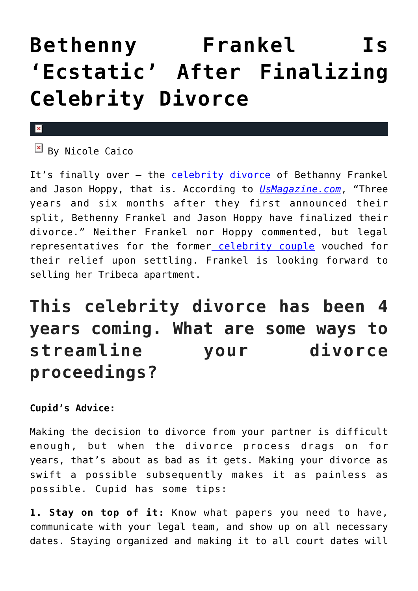# **[Bethenny Frankel Is](https://cupidspulse.com/112381/bethenny-frankel-finalizing-celebrity-divorce/) ['Ecstatic' After Finalizing](https://cupidspulse.com/112381/bethenny-frankel-finalizing-celebrity-divorce/) [Celebrity Divorce](https://cupidspulse.com/112381/bethenny-frankel-finalizing-celebrity-divorce/)**

#### $\mathbf x$

 $\overline{B}$  By Nicole Caico

It's finally over - the [celebrity divorce](http://cupidspulse.com/celebrity-relationships/break-up-divorce/) of Bethanny Frankel and Jason Hoppy, that is. According to *[UsMagazine.com](http://www.usmagazine.com/celebrity-news/news/bethenny-frankel-jason-hoppy-finalize-divorce-after-three-years-w429750)*, "Three years and six months after they first announced their split, Bethenny Frankel and Jason Hoppy have finalized their divorce." Neither Frankel nor Hoppy commented, but legal representatives for the former [celebrity couple](http://cupidspulse.com/celebrity-relationships/long-term-relationships-flings/) vouched for their relief upon settling. Frankel is looking forward to selling her Tribeca apartment.

### **This celebrity divorce has been 4 years coming. What are some ways to streamline your divorce proceedings?**

**Cupid's Advice:**

Making the decision to divorce from your partner is difficult enough, but when the divorce process drags on for years, that's about as bad as it gets. Making your divorce as swift a possible subsequently makes it as painless as possible. Cupid has some tips:

**1. Stay on top of it:** Know what papers you need to have, communicate with your legal team, and show up on all necessary dates. Staying organized and making it to all court dates will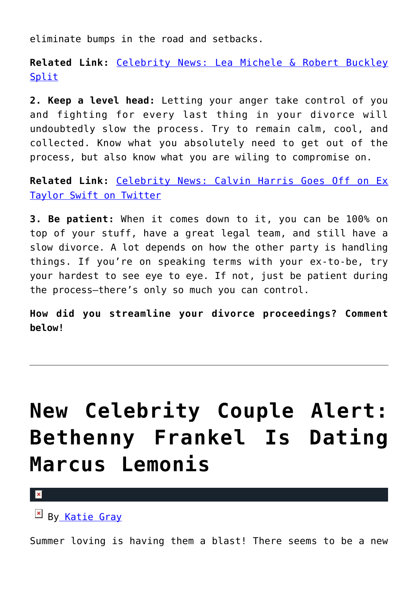eliminate bumps in the road and setbacks.

**Related Link:** [Celebrity News: Lea Michele & Robert Buckley](http://cupidspulse.com/112055/celebrity-news-lea-michele-robert-buckley-split/) [Split](http://cupidspulse.com/112055/celebrity-news-lea-michele-robert-buckley-split/)

**2. Keep a level head:** Letting your anger take control of you and fighting for every last thing in your divorce will undoubtedly slow the process. Try to remain calm, cool, and collected. Know what you absolutely need to get out of the process, but also know what you are wiling to compromise on.

**Related Link:** [Celebrity News: Calvin Harris Goes Off on Ex](http://cupidspulse.com/112294/celebrity-news-calvin-harris-goes-off-ex-taylor-swift-twitter/) [Taylor Swift on Twitter](http://cupidspulse.com/112294/celebrity-news-calvin-harris-goes-off-ex-taylor-swift-twitter/)

**3. Be patient:** When it comes down to it, you can be 100% on top of your stuff, have a great legal team, and still have a slow divorce. A lot depends on how the other party is handling things. If you're on speaking terms with your ex-to-be, try your hardest to see eye to eye. If not, just be patient during the process–there's only so much you can control.

**How did you streamline your divorce proceedings? Comment below!**

## **[New Celebrity Couple Alert:](https://cupidspulse.com/99433/new-celebrity-couple-bethenny-frankel-dating-marcus-lemonis/) [Bethenny Frankel Is Dating](https://cupidspulse.com/99433/new-celebrity-couple-bethenny-frankel-dating-marcus-lemonis/) [Marcus Lemonis](https://cupidspulse.com/99433/new-celebrity-couple-bethenny-frankel-dating-marcus-lemonis/)**

B[y Katie Gray](http://cupidspulse.com/105088/katie-gray/)

Summer loving is having them a blast! There seems to be a new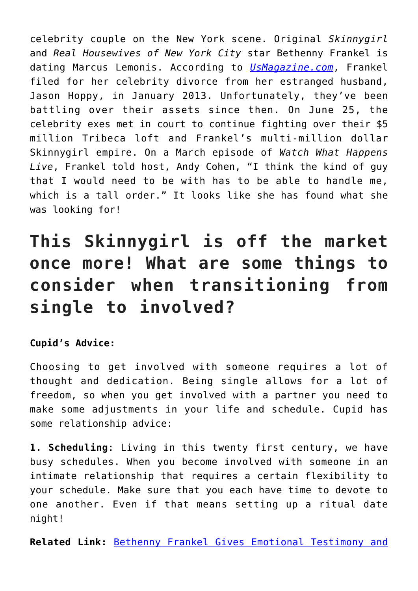celebrity couple on the New York scene. Original *Skinnygirl* and *Real Housewives of New York City* star Bethenny Frankel is dating Marcus Lemonis. According to *[UsMagazine.com](http://www.usmagazine.com/celebrity-news/news/bethenny-frankel-dating-marcus-lemonis--2015268)*, Frankel filed for her celebrity divorce from her estranged husband, Jason Hoppy, in January 2013. Unfortunately, they've been battling over their assets since then. On June 25, the celebrity exes met in court to continue fighting over their \$5 million Tribeca loft and Frankel's multi-million dollar Skinnygirl empire. On a March episode of *Watch What Happens Live*, Frankel told host, Andy Cohen, "I think the kind of guy that I would need to be with has to be able to handle me, which is a tall order." It looks like she has found what she was looking for!

### **This Skinnygirl is off the market once more! What are some things to consider when transitioning from single to involved?**

### **Cupid's Advice:**

Choosing to get involved with someone requires a lot of thought and dedication. Being single allows for a lot of freedom, so when you get involved with a partner you need to make some adjustments in your life and schedule. Cupid has some relationship advice:

**1. Scheduling**: Living in this twenty first century, we have busy schedules. When you become involved with someone in an intimate relationship that requires a certain flexibility to your schedule. Make sure that you each have time to devote to one another. Even if that means setting up a ritual date night!

**Related Link:** [Bethenny Frankel Gives Emotional Testimony and](http://cupidspulse.com/75253/bethenny-frankel-gives-emotional-testimony-and-cries-in-custody-battle/)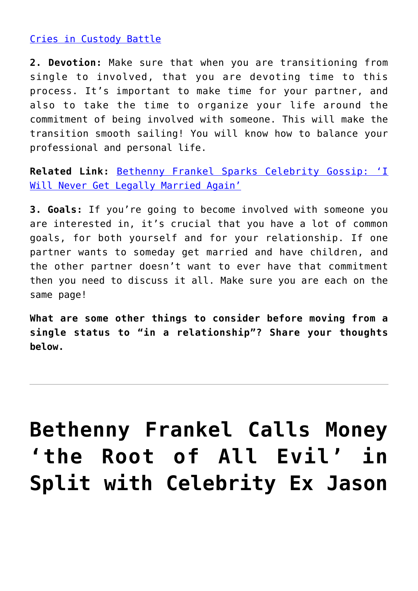### [Cries in Custody Battle](http://cupidspulse.com/75253/bethenny-frankel-gives-emotional-testimony-and-cries-in-custody-battle/)

**2. Devotion:** Make sure that when you are transitioning from single to involved, that you are devoting time to this process. It's important to make time for your partner, and also to take the time to organize your life around the commitment of being involved with someone. This will make the transition smooth sailing! You will know how to balance your professional and personal life.

**Related Link:** [Bethenny Frankel Sparks Celebrity Gossip: 'I](http://cupidspulse.com/89283/bethenny-frankel-sparks-celebrity-gossip-never-legally-married/) [Will Never Get Legally Married Again'](http://cupidspulse.com/89283/bethenny-frankel-sparks-celebrity-gossip-never-legally-married/)

**3. Goals:** If you're going to become involved with someone you are interested in, it's crucial that you have a lot of common goals, for both yourself and for your relationship. If one partner wants to someday get married and have children, and the other partner doesn't want to ever have that commitment then you need to discuss it all. Make sure you are each on the same page!

**What are some other things to consider before moving from a single status to "in a relationship"? Share your thoughts below.**

# **[Bethenny Frankel Calls Money](https://cupidspulse.com/89303/bethenny-frankel-money-root-of-evil-celebrity-ex-jason-hoppy/) ['the Root of All Evil' in](https://cupidspulse.com/89303/bethenny-frankel-money-root-of-evil-celebrity-ex-jason-hoppy/) [Split with Celebrity Ex Jason](https://cupidspulse.com/89303/bethenny-frankel-money-root-of-evil-celebrity-ex-jason-hoppy/)**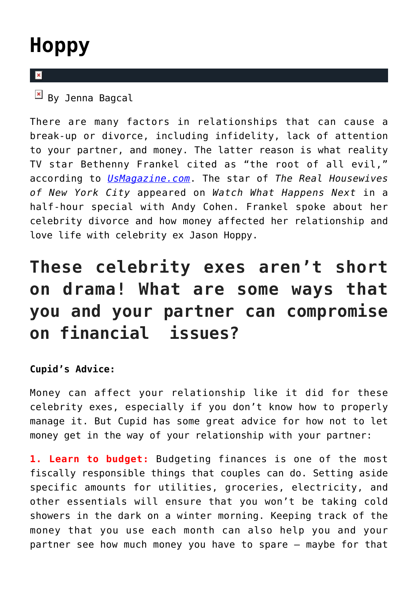### **[Hoppy](https://cupidspulse.com/89303/bethenny-frankel-money-root-of-evil-celebrity-ex-jason-hoppy/)**

#### $\mathbf{R}$

 $\boxed{\times}$  By Jenna Bagcal

There are many factors in relationships that can cause a break-up or divorce, including infidelity, lack of attention to your partner, and money. The latter reason is what reality TV star Bethenny Frankel cited as "the root of all evil," according to *[UsMagazine.com](http://www.usmagazine.com/entertainment/news/bethenny-frankel-says-shes-single-talks-jason-hoppy-on-wwhl-details-2015223)*. The star of *The Real Housewives of New York City* appeared on *Watch What Happens Next* in a half-hour special with Andy Cohen. Frankel spoke about her celebrity divorce and how money affected her relationship and love life with celebrity ex Jason Hoppy.

### **These celebrity exes aren't short on drama! What are some ways that you and your partner can compromise on financial issues?**

**Cupid's Advice:** 

Money can affect your relationship like it did for these celebrity exes, especially if you don't know how to properly manage it. But Cupid has some great advice for how not to let money get in the way of your relationship with your partner:

**1. Learn to budget:** Budgeting finances is one of the most fiscally responsible things that couples can do. Setting aside specific amounts for utilities, groceries, electricity, and other essentials will ensure that you won't be taking cold showers in the dark on a winter morning. Keeping track of the money that you use each month can also help you and your partner see how much money you have to spare — maybe for that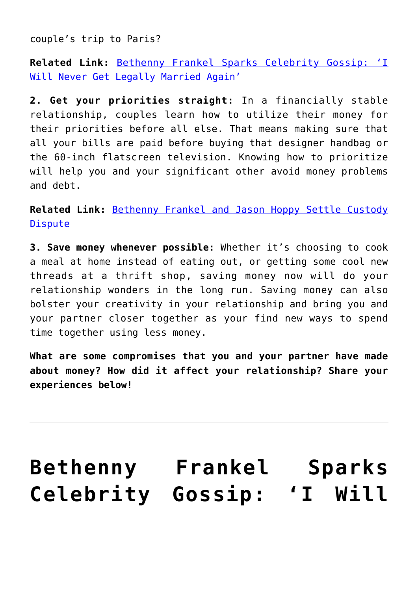couple's trip to Paris?

**Related Link:** [Bethenny Frankel Sparks Celebrity Gossip: 'I](http://cupidspulse.com/89283/bethenny-frankel-sparks-celebrity-gossip-never-legally-married/) [Will Never Get Legally Married Again'](http://cupidspulse.com/89283/bethenny-frankel-sparks-celebrity-gossip-never-legally-married/)

**2. Get your priorities straight:** In a financially stable relationship, couples learn how to utilize their money for their priorities before all else. That means making sure that all your bills are paid before buying that designer handbag or the 60-inch flatscreen television. Knowing how to prioritize will help you and your significant other avoid money problems and debt.

**Related Link:** [Bethenny Frankel and Jason Hoppy Settle Custody](http://cupidspulse.com/75432/bethenny-frankel-and-jason-hoppy-settle-custody-dispute/) **[Dispute](http://cupidspulse.com/75432/bethenny-frankel-and-jason-hoppy-settle-custody-dispute/)** 

**3. Save money whenever possible:** Whether it's choosing to cook a meal at home instead of eating out, or getting some cool new threads at a thrift shop, saving money now will do your relationship wonders in the long run. Saving money can also bolster your creativity in your relationship and bring you and your partner closer together as your find new ways to spend time together using less money.

**What are some compromises that you and your partner have made about money? How did it affect your relationship? Share your experiences below!**

# **[Bethenny Frankel Sparks](https://cupidspulse.com/89283/bethenny-frankel-sparks-celebrity-gossip-never-legally-married/) [Celebrity Gossip: 'I Will](https://cupidspulse.com/89283/bethenny-frankel-sparks-celebrity-gossip-never-legally-married/)**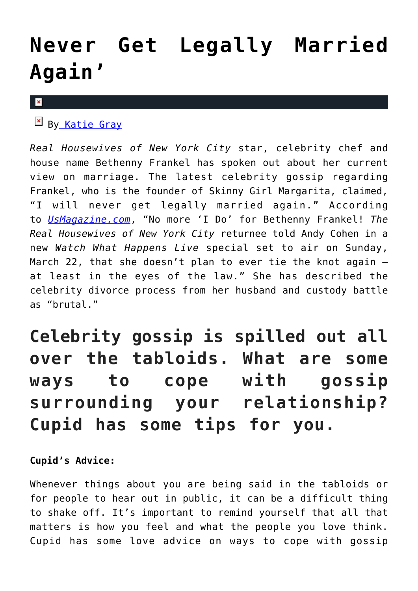### **[Never Get Legally Married](https://cupidspulse.com/89283/bethenny-frankel-sparks-celebrity-gossip-never-legally-married/) [Again'](https://cupidspulse.com/89283/bethenny-frankel-sparks-celebrity-gossip-never-legally-married/)**

 $\mathbf x$ 

### B[y Katie Gray](http://cupidspulse.com/105088/katie-gray/)

*Real Housewives of New York City* star, celebrity chef and house name Bethenny Frankel has spoken out about her current view on marriage. The latest celebrity gossip regarding Frankel, who is the founder of Skinny Girl Margarita, claimed, "I will never get legally married again." According to *[UsMagazine.com](http://www.usmagazine.com/entertainment/news/bethenny-frankel-i-will-never-get-legally-married-again-video-2015193)*, "No more 'I Do' for Bethenny Frankel! *The Real Housewives of New York City* returnee told Andy Cohen in a new *Watch What Happens Live* special set to air on Sunday, March 22, that she doesn't plan to ever tie the knot again at least in the eyes of the law." She has described the celebrity divorce process from her husband and custody battle as "brutal."

**Celebrity gossip is spilled out all over the tabloids. What are some ways to cope with gossip surrounding your relationship? Cupid has some tips for you.**

### **Cupid's Advice:**

Whenever things about you are being said in the tabloids or for people to hear out in public, it can be a difficult thing to shake off. It's important to remind yourself that all that matters is how you feel and what the people you love think. Cupid has some love advice on ways to cope with gossip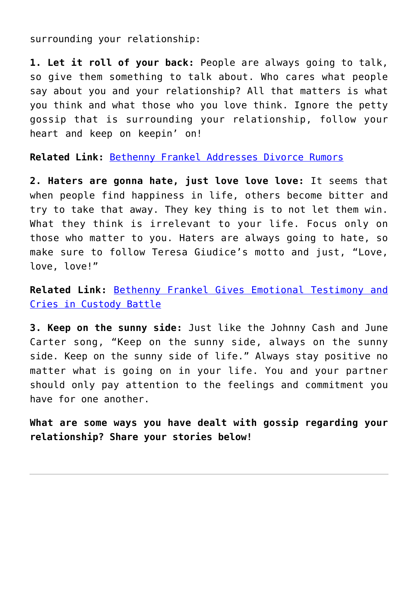surrounding your relationship:

**1. Let it roll of your back:** People are always going to talk, so give them something to talk about. Who cares what people say about you and your relationship? All that matters is what you think and what those who you love think. Ignore the petty gossip that is surrounding your relationship, follow your heart and keep on keepin' on!

**Related Link:** [Bethenny Frankel Addresses Divorce Rumors](http://cupidspulse.com/32741/bethenny-frankel-divorce-rumors/)

**2. Haters are gonna hate, just love love love:** It seems that when people find happiness in life, others become bitter and try to take that away. They key thing is to not let them win. What they think is irrelevant to your life. Focus only on those who matter to you. Haters are always going to hate, so make sure to follow Teresa Giudice's motto and just, "Love, love, love!"

**Related Link:** [Bethenny Frankel Gives Emotional Testimony and](http://cupidspulse.com/32741/bethenny-frankel-divorce-rumors/) [Cries in Custody Battle](http://cupidspulse.com/32741/bethenny-frankel-divorce-rumors/)

**3. Keep on the sunny side:** Just like the Johnny Cash and June Carter song, "Keep on the sunny side, always on the sunny side. Keep on the sunny side of life." Always stay positive no matter what is going on in your life. You and your partner should only pay attention to the feelings and commitment you have for one another.

**What are some ways you have dealt with gossip regarding your relationship? Share your stories below!**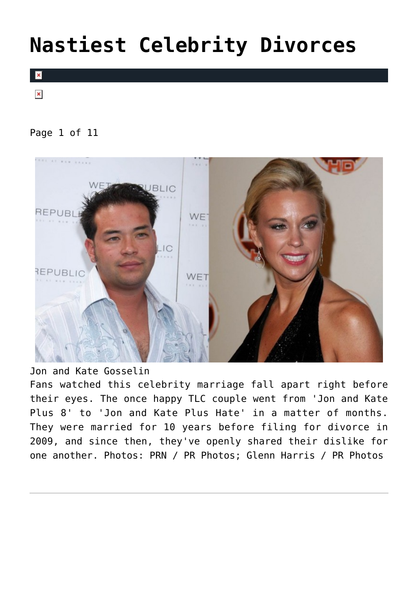# **[Nastiest Celebrity Divorces](https://cupidspulse.com/85759/nastiest-celebrity-divorces/)**



 $\pmb{\times}$ 

### Page 1 of 11



#### Jon and Kate Gosselin

Fans watched this celebrity marriage fall apart right before their eyes. The once happy TLC couple went from 'Jon and Kate Plus 8' to 'Jon and Kate Plus Hate' in a matter of months. They were married for 10 years before filing for divorce in 2009, and since then, they've openly shared their dislike for one another. Photos: PRN / PR Photos; Glenn Harris / PR Photos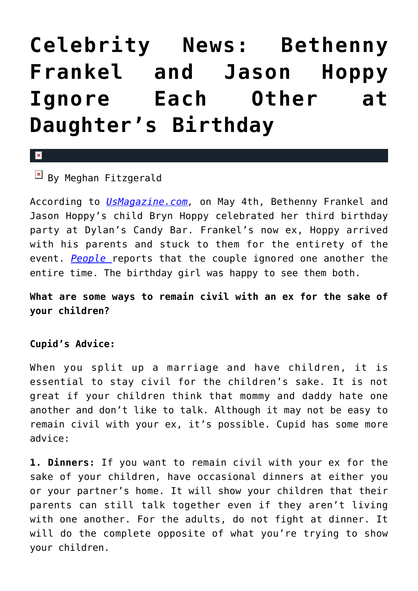# **[Celebrity News: Bethenny](https://cupidspulse.com/49683/bethenny-frankel-jason-hoppy-ignore-each-other-daughter-birthday/) [Frankel and Jason Hoppy](https://cupidspulse.com/49683/bethenny-frankel-jason-hoppy-ignore-each-other-daughter-birthday/) [Ignore Each Other at](https://cupidspulse.com/49683/bethenny-frankel-jason-hoppy-ignore-each-other-daughter-birthday/) [Daughter's Birthday](https://cupidspulse.com/49683/bethenny-frankel-jason-hoppy-ignore-each-other-daughter-birthday/)**

#### $\mathbf{x}$

### $\boxed{\times}$  By Meghan Fitzgerald

According to *[UsMagazine.com,](http://www.usmagazine.com/celebrity-news/news/bethenny-frankel-ignores-jason-hoppy-at-bryns-3rd-birthday-party-2013135)* on May 4th, Bethenny Frankel and Jason Hoppy's child Bryn Hoppy celebrated her third birthday party at Dylan's Candy Bar. Frankel's now ex, Hoppy arrived with his parents and stuck to them for the entirety of the event. *[People](http://www.people.com/people/article/0,,20697554,00.html)* reports that the couple ignored one another the entire time. The birthday girl was happy to see them both.

**What are some ways to remain civil with an ex for the sake of your children?**

#### **Cupid's Advice:**

When you split up a marriage and have children, it is essential to stay civil for the children's sake. It is not great if your children think that mommy and daddy hate one another and don't like to talk. Although it may not be easy to remain civil with your ex, it's possible. Cupid has some more advice:

**1. Dinners:** If you want to remain civil with your ex for the sake of your children, have occasional dinners at either you or your partner's home. It will show your children that their parents can still talk together even if they aren't living with one another. For the adults, do not fight at dinner. It will do the complete opposite of what you're trying to show your children.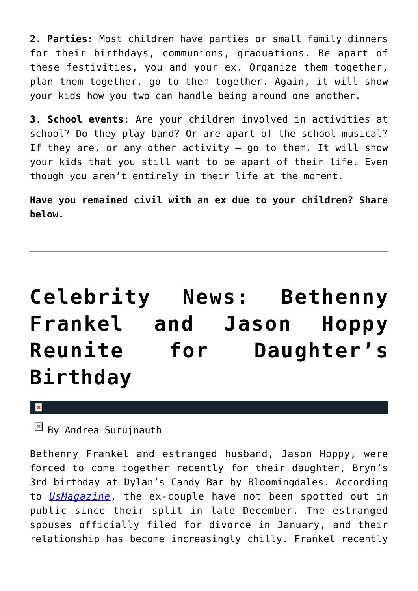**2. Parties:** Most children have parties or small family dinners for their birthdays, communions, graduations. Be apart of these festivities, you and your ex. Organize them together, plan them together, go to them together. Again, it will show your kids how you two can handle being around one another.

**3. School events:** Are your children involved in activities at school? Do they play band? Or are apart of the school musical? If they are, or any other activity  $-$  go to them. It will show your kids that you still want to be apart of their life. Even though you aren't entirely in their life at the moment.

**Have you remained civil with an ex due to your children? Share below.**

# **[Celebrity News: Bethenny](https://cupidspulse.com/49264/bethenny-frankel-jason-hoppy-reunite-daughter-birthday/) [Frankel and Jason Hoppy](https://cupidspulse.com/49264/bethenny-frankel-jason-hoppy-reunite-daughter-birthday/) [Reunite for Daughter's](https://cupidspulse.com/49264/bethenny-frankel-jason-hoppy-reunite-daughter-birthday/) [Birthday](https://cupidspulse.com/49264/bethenny-frankel-jason-hoppy-reunite-daughter-birthday/)**

 $\pmb{\times}$ 

 $\boxed{\times}$  By Andrea Surujnauth

Bethenny Frankel and estranged husband, Jason Hoppy, were forced to come together recently for their daughter, Bryn's 3rd birthday at Dylan's Candy Bar by Bloomingdales. According to *[UsMagazine](http://http://www.usmagazine.com/celebrity-news/news/bethenny-frankel-reunites-with-jason-hoppy-at-daughter-bryns-3rd-birthday-party-201355)*, the ex-couple have not been spotted out in public since their split in late December. The estranged spouses officially filed for divorce in January, and their relationship has become increasingly chilly. Frankel recently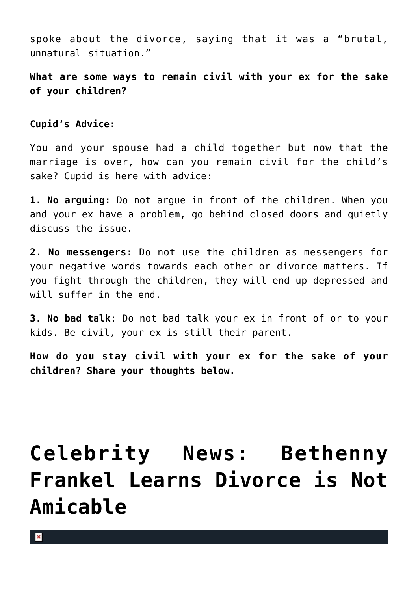spoke about the divorce, saying that it was a "brutal, unnatural situation."

**What are some ways to remain civil with your ex for the sake of your children?**

#### **Cupid's Advice:**

You and your spouse had a child together but now that the marriage is over, how can you remain civil for the child's sake? Cupid is here with advice:

**1. No arguing:** Do not argue in front of the children. When you and your ex have a problem, go behind closed doors and quietly discuss the issue.

**2. No messengers:** Do not use the children as messengers for your negative words towards each other or divorce matters. If you fight through the children, they will end up depressed and will suffer in the end.

**3. No bad talk:** Do not bad talk your ex in front of or to your kids. Be civil, your ex is still their parent.

**How do you stay civil with your ex for the sake of your children? Share your thoughts below.**

## **[Celebrity News: Bethenny](https://cupidspulse.com/48925/bethenny-frankel-surprised-divorce-not-amicable/) [Frankel Learns Divorce is Not](https://cupidspulse.com/48925/bethenny-frankel-surprised-divorce-not-amicable/) [Amicable](https://cupidspulse.com/48925/bethenny-frankel-surprised-divorce-not-amicable/)**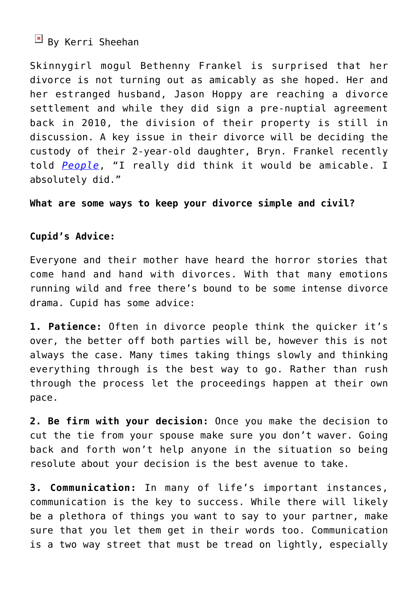### $\overline{B}$  By Kerri Sheehan

Skinnygirl mogul Bethenny Frankel is surprised that her divorce is not turning out as amicably as she hoped. Her and her estranged husband, Jason Hoppy are reaching a divorce settlement and while they did sign a pre-nuptial agreement back in 2010, the division of their property is still in discussion. A key issue in their divorce will be deciding the custody of their 2-year-old daughter, Bryn. Frankel recently told *[People](http://www.people.com/people/article/0,,20695982,00.html)*, "I really did think it would be amicable. I absolutely did."

### **What are some ways to keep your divorce simple and civil?**

### **Cupid's Advice:**

Everyone and their mother have heard the horror stories that come hand and hand with divorces. With that many emotions running wild and free there's bound to be some intense divorce drama. Cupid has some advice:

**1. Patience:** Often in divorce people think the quicker it's over, the better off both parties will be, however this is not always the case. Many times taking things slowly and thinking everything through is the best way to go. Rather than rush through the process let the proceedings happen at their own pace.

**2. Be firm with your decision:** Once you make the decision to cut the tie from your spouse make sure you don't waver. Going back and forth won't help anyone in the situation so being resolute about your decision is the best avenue to take.

**3. Communication:** In many of life's important instances, communication is the key to success. While there will likely be a plethora of things you want to say to your partner, make sure that you let them get in their words too. Communication is a two way street that must be tread on lightly, especially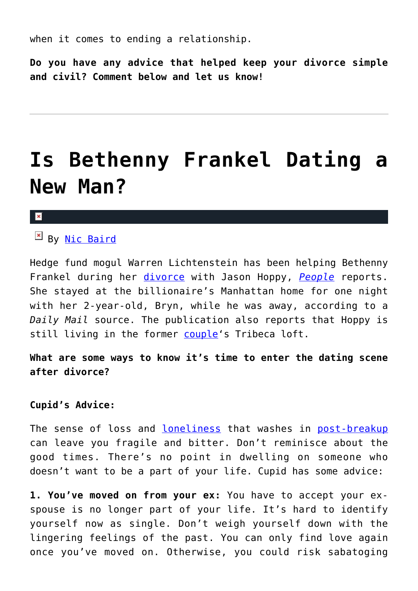when it comes to ending a relationship.

**Do you have any advice that helped keep your divorce simple and civil? Comment below and let us know!**

### **[Is Bethenny Frankel Dating a](https://cupidspulse.com/44035/bethenny-frankel-dating-new-man/) [New Man?](https://cupidspulse.com/44035/bethenny-frankel-dating-new-man/)**

#### $\pmb{\times}$

### By [Nic Baird](http://cupidspulse.com/search-results/?q=Nic+Baird)

Hedge fund mogul Warren Lichtenstein has been helping Bethenny Frankel during her [divorce](http://cupidspulse.com/kim-kardashian-love-divorce-kris-humphries/) with Jason Hoppy, *[People](http://www.people.com/people/article/0,,20666740,00.html)* reports. She stayed at the billionaire's Manhattan home for one night with her 2-year-old, Bryn, while he was away, according to a *Daily Mail* source. The publication also reports that Hoppy is still living in the former [couple'](http://cupidspulse.com/is-priscilla-presley-waving-the-flag-for-older-women-with-an-age-defying-relationship/)s Tribeca loft.

**What are some ways to know it's time to enter the dating scene after divorce?**

#### **Cupid's Advice:**

The sense of loss and [loneliness](http://cupidspulse.com/steps-recover-ending-relationship-breakup-split-divorce/) that washes in [post-breakup](http://cupidspulse.com/tom-cruise-work-post-divorce/) can leave you fragile and bitter. Don't reminisce about the good times. There's no point in dwelling on someone who doesn't want to be a part of your life. Cupid has some advice:

**1. You've moved on from your ex:** You have to accept your exspouse is no longer part of your life. It's hard to identify yourself now as single. Don't weigh yourself down with the lingering feelings of the past. You can only find love again once you've moved on. Otherwise, you could risk sabatoging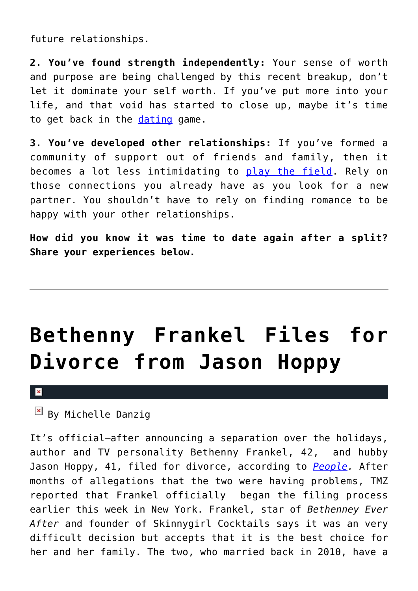future relationships.

**2. You've found strength independently:** Your sense of worth and purpose are being challenged by this recent breakup, don't let it dominate your self worth. If you've put more into your life, and that void has started to close up, maybe it's time to get back in the [dating](http://cupidspulse.com/daniel-radcliffe-erin-darke-together-sundance-film-festival/) game.

**3. You've developed other relationships:** If you've formed a community of support out of friends and family, then it becomes a lot less intimidating to [play the field.](http://cupidspulse.com/should-you-ask-him-out/) Rely on those connections you already have as you look for a new partner. You shouldn't have to rely on finding romance to be happy with your other relationships.

**How did you know it was time to date again after a split? Share your experiences below.**

## **[Bethenny Frankel Files for](https://cupidspulse.com/43432/bethenny-frankel-jason-hoppy-divorce/) [Divorce from Jason Hoppy](https://cupidspulse.com/43432/bethenny-frankel-jason-hoppy-divorce/)**

 $\overline{\mathbf{x}}$ 

 $\boxed{\times}$  By Michelle Danzig

It's official–after announcing a separation over the holidays, author and TV personality Bethenny Frankel, 42, and hubby Jason Hoppy, 41, filed for divorce, according to *[People](http://www.people.com/people/article/0,,20662099,00.html).* After months of allegations that the two were having problems, TMZ reported that Frankel officially began the filing process earlier this week in New York. Frankel, star of *Bethenney Ever After* and founder of Skinnygirl Cocktails says it was an very difficult decision but accepts that it is the best choice for her and her family. The two, who married back in 2010, have a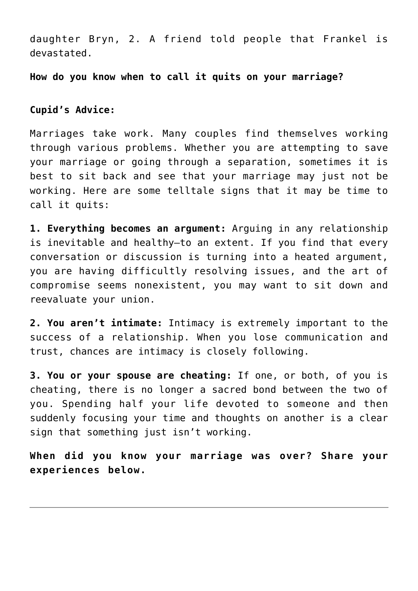daughter Bryn, 2. A friend told people that Frankel is devastated.

**How do you know when to call it quits on your marriage?**

#### **Cupid's Advice:**

Marriages take work. Many couples find themselves working through various problems. Whether you are attempting to save your marriage or going through a separation, sometimes it is best to sit back and see that your marriage may just not be working. Here are some telltale signs that it may be time to call it quits:

**1. Everything becomes an argument:** Arguing in any relationship is inevitable and healthy–to an extent. If you find that every conversation or discussion is turning into a heated argument, you are having difficultly resolving issues, and the art of compromise seems nonexistent, you may want to sit down and reevaluate your union.

**2. You aren't intimate:** Intimacy is extremely important to the success of a relationship. When you lose communication and trust, chances are intimacy is closely following.

**3. You or your spouse are cheating:** If one, or both, of you is cheating, there is no longer a sacred bond between the two of you. Spending half your life devoted to someone and then suddenly focusing your time and thoughts on another is a clear sign that something just isn't working.

**When did you know your marriage was over? Share your experiences below.**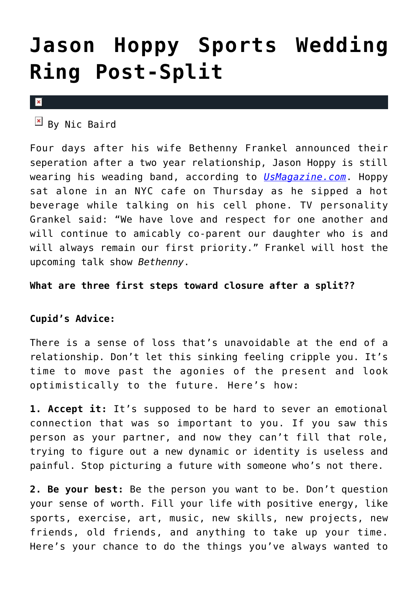### **[Jason Hoppy Sports Wedding](https://cupidspulse.com/43249/jason-hoppy-wedding-ring-post-split/) [Ring Post-Split](https://cupidspulse.com/43249/jason-hoppy-wedding-ring-post-split/)**

#### $\mathbf x$

 $B$ y Nic Baird

Four days after his wife Bethenny Frankel announced their seperation after a two year relationship, Jason Hoppy is still wearing his weading band, according to *[UsMagazine.com](http://www.usmagazine.com/celebrity-news/news/jason-hoppy-wears-wedding-ring-post-bethenny-frankel-split-picture-20122712)*. Hoppy sat alone in an NYC cafe on Thursday as he sipped a hot beverage while talking on his cell phone. TV personality Grankel said: "We have love and respect for one another and will continue to amicably co-parent our daughter who is and will always remain our first priority." Frankel will host the upcoming talk show *Bethenny*.

**What are three first steps toward closure after a split??**

### **Cupid's Advice:**

There is a sense of loss that's unavoidable at the end of a relationship. Don't let this sinking feeling cripple you. It's time to move past the agonies of the present and look optimistically to the future. Here's how:

**1. Accept it:** It's supposed to be hard to sever an emotional connection that was so important to you. If you saw this person as your partner, and now they can't fill that role, trying to figure out a new dynamic or identity is useless and painful. Stop picturing a future with someone who's not there.

**2. Be your best:** Be the person you want to be. Don't question your sense of worth. Fill your life with positive energy, like sports, exercise, art, music, new skills, new projects, new friends, old friends, and anything to take up your time. Here's your chance to do the things you've always wanted to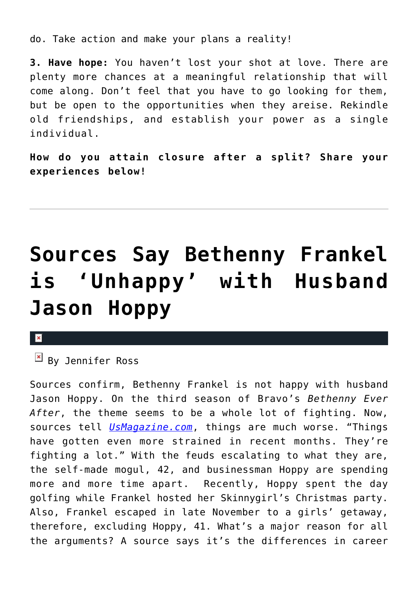do. Take action and make your plans a reality!

**3. Have hope:** You haven't lost your shot at love. There are plenty more chances at a meaningful relationship that will come along. Don't feel that you have to go looking for them, but be open to the opportunities when they areise. Rekindle old friendships, and establish your power as a single individual.

**How do you attain closure after a split? Share your experiences below!**

# **[Sources Say Bethenny Frankel](https://cupidspulse.com/42526/bethenny-frankel-unhappy-husband-jason-hoppy/) [is 'Unhappy' with Husband](https://cupidspulse.com/42526/bethenny-frankel-unhappy-husband-jason-hoppy/) [Jason Hoppy](https://cupidspulse.com/42526/bethenny-frankel-unhappy-husband-jason-hoppy/)**

#### $\mathbf{x}$

 $\boxed{\times}$  By Jennifer Ross

Sources confirm, Bethenny Frankel is not happy with husband Jason Hoppy. On the third season of Bravo's *Bethenny Ever After*, the theme seems to be a whole lot of fighting. Now, sources tell *[UsMagazine.com](http://www.usmagazine.com/celebrity-news/news/bethenny-frankel-unhappy-with-husband-jason-hoppy-20121212)*, things are much worse. "Things have gotten even more strained in recent months. They're fighting a lot." With the feuds escalating to what they are, the self-made mogul, 42, and businessman Hoppy are spending more and more time apart. Recently, Hoppy spent the day golfing while Frankel hosted her Skinnygirl's Christmas party. Also, Frankel escaped in late November to a girls' getaway, therefore, excluding Hoppy, 41. What's a major reason for all the arguments? A source says it's the differences in career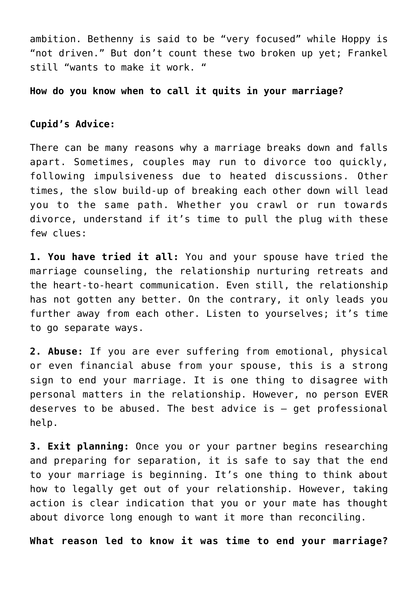ambition. Bethenny is said to be "very focused" while Hoppy is "not driven." But don't count these two broken up yet; Frankel still "wants to make it work. "

#### **How do you know when to call it quits in your marriage?**

#### **Cupid's Advice:**

There can be many reasons why a marriage breaks down and falls apart. Sometimes, couples may run to divorce too quickly, following impulsiveness due to heated discussions. Other times, the slow build-up of breaking each other down will lead you to the same path. Whether you crawl or run towards divorce, understand if it's time to pull the plug with these few clues:

**1. You have tried it all:** You and your spouse have tried the marriage counseling, the relationship nurturing retreats and the heart-to-heart communication. Even still, the relationship has not gotten any better. On the contrary, it only leads you further away from each other. Listen to yourselves; it's time to go separate ways.

**2. Abuse:** If you are ever suffering from emotional, physical or even financial abuse from your spouse, this is a strong sign to end your marriage. It is one thing to disagree with personal matters in the relationship. However, no person EVER deserves to be abused. The best advice is — get professional help.

**3. Exit planning:** Once you or your partner begins researching and preparing for separation, it is safe to say that the end to your marriage is beginning. It's one thing to think about how to legally get out of your relationship. However, taking action is clear indication that you or your mate has thought about divorce long enough to want it more than reconciling.

**What reason led to know it was time to end your marriage?**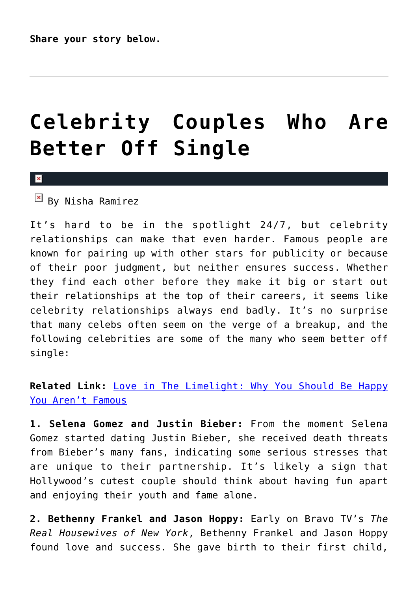# **[Celebrity Couples Who Are](https://cupidspulse.com/33873/celebrity-couples-who-are-better-off-single/) [Better Off Single](https://cupidspulse.com/33873/celebrity-couples-who-are-better-off-single/)**

#### $\pmb{\times}$

 $\boxed{\times}$  By Nisha Ramirez

It's hard to be in the spotlight 24/7, but celebrity relationships can make that even harder. Famous people are known for pairing up with other stars for publicity or because of their poor judgment, but neither ensures success. Whether they find each other before they make it big or start out their relationships at the top of their careers, it seems like celebrity relationships always end badly. It's no surprise that many celebs often seem on the verge of a breakup, and the following celebrities are some of the many who seem better off single:

**Related Link:** [Love in The Limelight: Why You Should Be Happy](http://cupidspulse.com/celebrity-couples-love-limelight-fame/) [You Aren't Famous](http://cupidspulse.com/celebrity-couples-love-limelight-fame/)

**1. Selena Gomez and Justin Bieber:** From the moment Selena Gomez started dating Justin Bieber, she received death threats from Bieber's many fans, indicating some serious stresses that are unique to their partnership. It's likely a sign that Hollywood's cutest couple should think about having fun apart and enjoying their youth and fame alone.

**2. Bethenny Frankel and Jason Hoppy:** Early on Bravo TV's *The Real Housewives of New York*, Bethenny Frankel and Jason Hoppy found love and success. She gave birth to their first child,